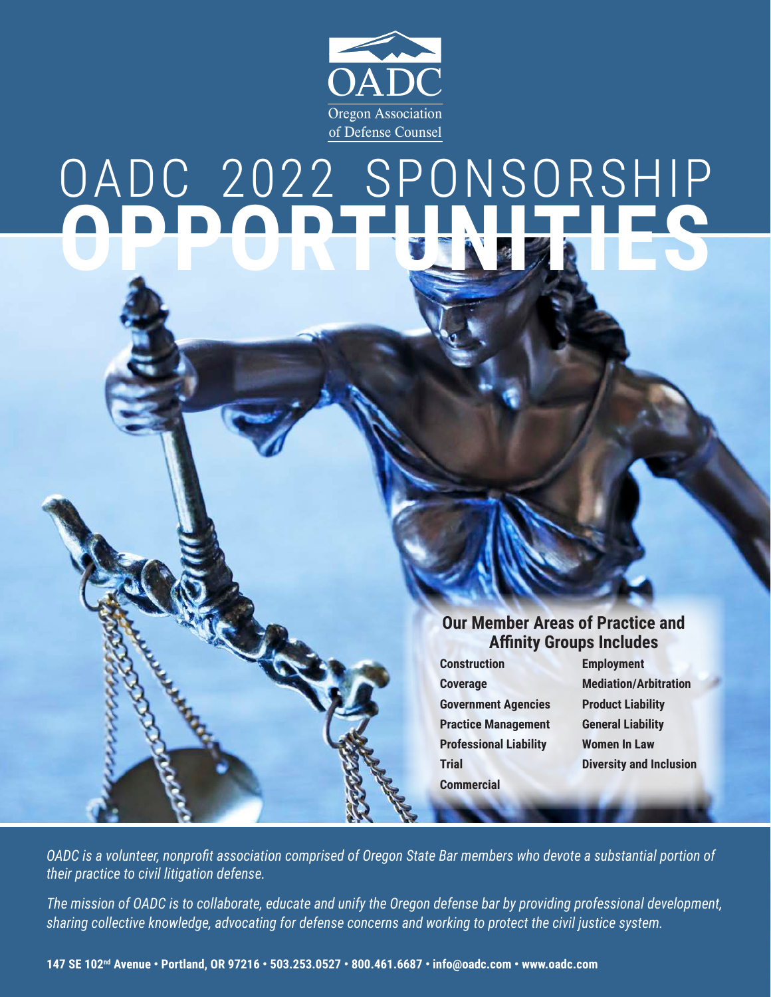

# OADC 2022 SPONSORSHIP **OPPORTUNITIES**

#### **Our Member Areas of Practice and Affinity Groups Includes**

**Construction Employment Coverage Mediation/Arbitration Government Agencies Product Liability Practice Management General Liability Professional Liability Women In Law Commercial**

**Trial Diversity and Inclusion**

*OADC is a volunteer, nonprofit association comprised of Oregon State Bar members who devote a substantial portion of their practice to civil litigation defense.*

*The mission of OADC is to collaborate, educate and unify the Oregon defense bar by providing professional development, sharing collective knowledge, advocating for defense concerns and working to protect the civil justice system.*

**147 SE 102nd Avenue • Portland, OR 97216 • 503.253.0527 • 800.461.6687 • info@oadc.com • www.oadc.com**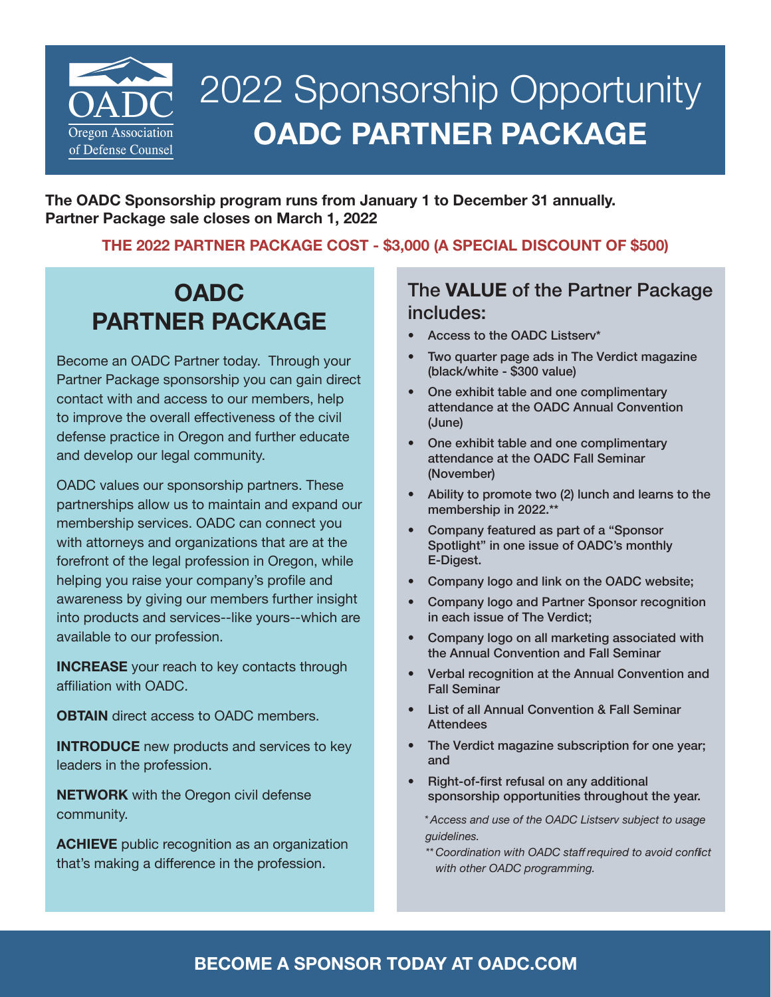

## 2022 Sponsorship Opportunity **OADC PARTNER PACKAGE**

**The OADC Sponsorship program runs from January 1 to December 31 annually. Partner Package sale closes on March 1, 2022**

#### **THE 2022 PARTNER PACKAGE COST - \$3,000 (A SPECIAL DISCOUNT OF \$500)**

### **OADC PARTNER PACKAGE**

Become an OADC Partner today. Through your Partner Package sponsorship you can gain direct contact with and access to our members, help to improve the overall effectiveness of the civil defense practice in Oregon and further educate and develop our legal community.

OADC values our sponsorship partners. These partnerships allow us to maintain and expand our membership services. OADC can connect you with attorneys and organizations that are at the forefront of the legal profession in Oregon, while helping you raise your company's profile and awareness by giving our members further insight into products and services--like yours--which are available to our profession.

**INCREASE** your reach to key contacts through affiliation with OADC.

**OBTAIN** direct access to OADC members.

**INTRODUCE** new products and services to key leaders in the profession.

**NETWORK** with the Oregon civil defense community.

**ACHIEVE** public recognition as an organization that's making a difference in the profession.

#### The **VALUE** of the Partner Package includes:

- Access to the OADC Listserv\*
- Two quarter page ads in The Verdict magazine (black/white - \$300 value)
- One exhibit table and one complimentary attendance at the OADC Annual Convention (June)
- One exhibit table and one complimentary attendance at the OADC Fall Seminar (November)
- Ability to promote two (2) lunch and learns to the membership in 2022.\*\*
- Company featured as part of a "Sponsor Spotlight" in one issue of OADC's monthly E-Digest.
- Company logo and link on the OADC website;
- Company logo and Partner Sponsor recognition in each issue of The Verdict;
- Company logo on all marketing associated with the Annual Convention and Fall Seminar
- Verbal recognition at the Annual Convention and Fall Seminar
- List of all Annual Convention & Fall Seminar **Attendees**
- The Verdict magazine subscription for one year; and
- Right-of-first refusal on any additional sponsorship opportunities throughout the year.

*\* Access and use of the OADC Listserv subject to usage guidelines.*

*\*\* Coordination with OADC staff required to avoid conflict with other OADC programming.*

#### **BECOME A SPONSOR TODAY AT OADC.COM**